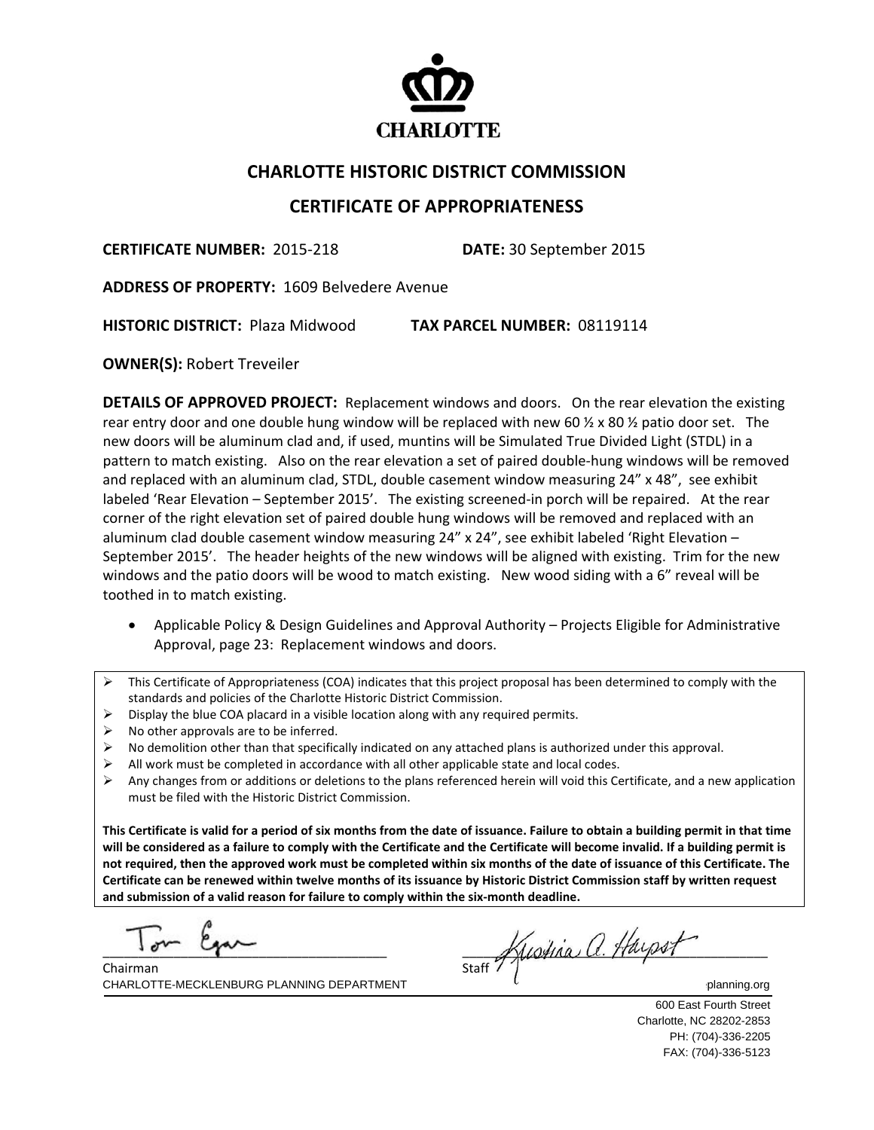

## **CHARLOTTE HISTORIC DISTRICT COMMISSION**

## **CERTIFICATE OF APPROPRIATENESS**

**CERTIFICATE NUMBER:** 2015‐218 **DATE:** 30 September 2015

**ADDRESS OF PROPERTY:** 1609 Belvedere Avenue

**HISTORIC DISTRICT:** Plaza Midwood **TAX PARCEL NUMBER:** 08119114

**OWNER(S):** Robert Treveiler

**DETAILS OF APPROVED PROJECT:** Replacement windows and doors. On the rear elevation the existing rear entry door and one double hung window will be replaced with new 60  $\frac{1}{2} \times 80 \frac{1}{2}$  patio door set. The new doors will be aluminum clad and, if used, muntins will be Simulated True Divided Light (STDL) in a pattern to match existing. Also on the rear elevation a set of paired double-hung windows will be removed and replaced with an aluminum clad, STDL, double casement window measuring 24" x 48", see exhibit labeled 'Rear Elevation – September 2015'. The existing screened-in porch will be repaired. At the rear corner of the right elevation set of paired double hung windows will be removed and replaced with an aluminum clad double casement window measuring 24" x 24", see exhibit labeled 'Right Elevation – September 2015'. The header heights of the new windows will be aligned with existing. Trim for the new windows and the patio doors will be wood to match existing. New wood siding with a 6" reveal will be toothed in to match existing.

- Applicable Policy & Design Guidelines and Approval Authority Projects Eligible for Administrative Approval, page 23: Replacement windows and doors.
- $\triangleright$  This Certificate of Appropriateness (COA) indicates that this project proposal has been determined to comply with the standards and policies of the Charlotte Historic District Commission.
- $\triangleright$  Display the blue COA placard in a visible location along with any required permits.
- $\triangleright$  No other approvals are to be inferred.

- $\triangleright$  No demolition other than that specifically indicated on any attached plans is authorized under this approval.
- All work must be completed in accordance with all other applicable state and local codes.
- $\triangleright$  Any changes from or additions or deletions to the plans referenced herein will void this Certificate, and a new application must be filed with the Historic District Commission.

This Certificate is valid for a period of six months from the date of issuance. Failure to obtain a building permit in that time will be considered as a failure to comply with the Certificate and the Certificate will become invalid. If a building permit is not required, then the approved work must be completed within six months of the date of issuance of this Certificate. The Certificate can be renewed within twelve months of its issuance by Historic District Commission staff by written request **and submission of a valid reason for failure to comply within the six‐month deadline.**

  $\Gamma$   $\beta$   $\mu$ 

CHARLOTTE-MECKLENBURG PLANNING DEPARTMENT WE CHARLOTTE-MECKLENBURG PLANNING DEPARTMENT Chairman

 $\frac{1}{\text{Start}}$  Kustina a. Hayset

600 East Fourth Street Charlotte, NC 28202-2853 PH: (704)-336-2205 FAX: (704)-336-5123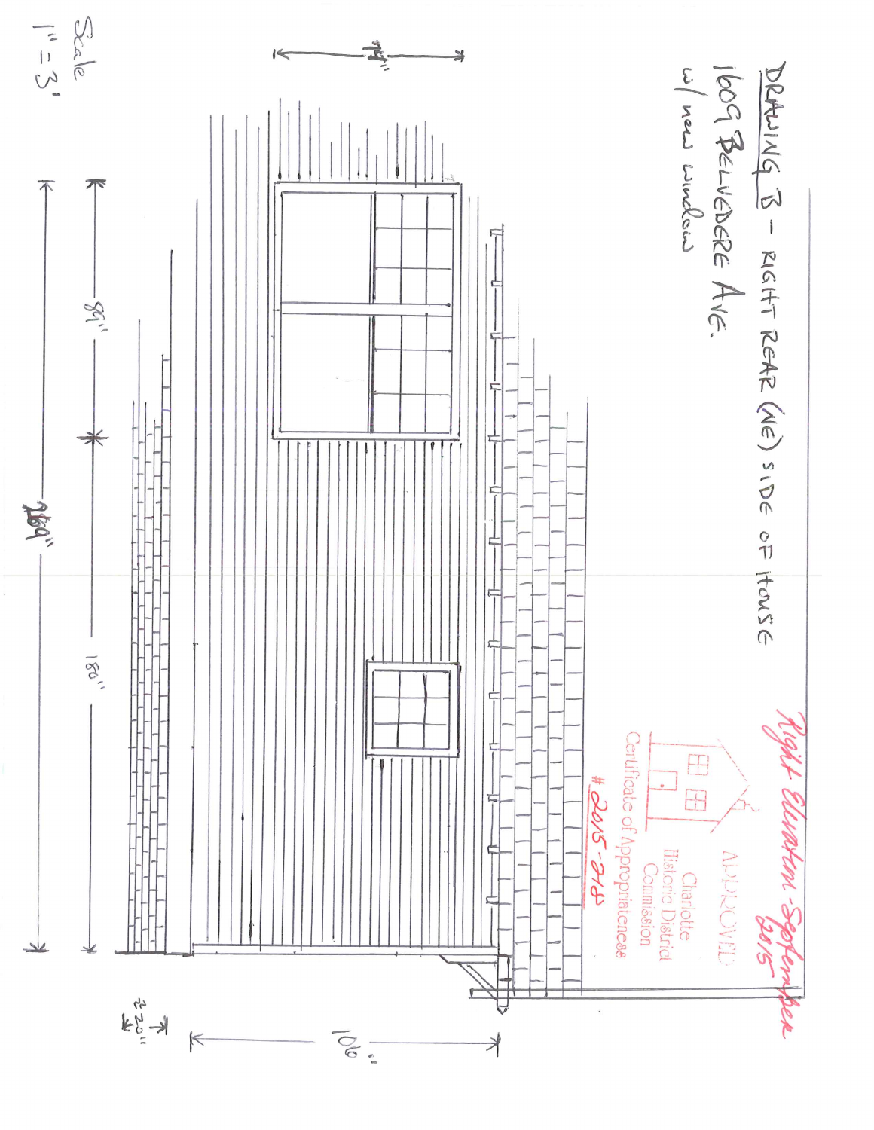